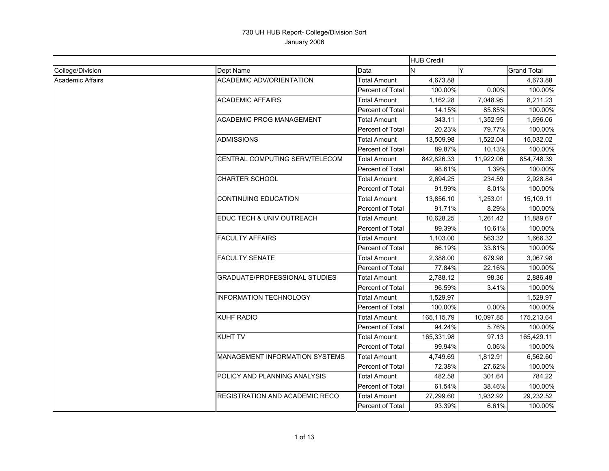|                         |                                       |                     | <b>HUB Credit</b> |           |                    |
|-------------------------|---------------------------------------|---------------------|-------------------|-----------|--------------------|
| College/Division        | Dept Name                             | Data                | Y<br>N            |           | <b>Grand Total</b> |
| <b>Academic Affairs</b> | <b>ACADEMIC ADV/ORIENTATION</b>       | <b>Total Amount</b> | 4,673.88          |           | 4,673.88           |
|                         |                                       | Percent of Total    | 100.00%           | 0.00%     | 100.00%            |
|                         | <b>ACADEMIC AFFAIRS</b>               | Total Amount        | 1,162.28          | 7,048.95  | 8,211.23           |
|                         |                                       | Percent of Total    | 14.15%            | 85.85%    | 100.00%            |
|                         | <b>ACADEMIC PROG MANAGEMENT</b>       | Total Amount        | 343.11            | 1,352.95  | 1,696.06           |
|                         |                                       | Percent of Total    | 20.23%            | 79.77%    | 100.00%            |
|                         | <b>ADMISSIONS</b>                     | <b>Total Amount</b> | 13,509.98         | 1,522.04  | 15,032.02          |
|                         |                                       | Percent of Total    | 89.87%            | 10.13%    | 100.00%            |
|                         | CENTRAL COMPUTING SERV/TELECOM        | Total Amount        | 842,826.33        | 11,922.06 | 854,748.39         |
|                         |                                       | Percent of Total    | 98.61%            | 1.39%     | 100.00%            |
|                         | <b>CHARTER SCHOOL</b>                 | Total Amount        | 2,694.25          | 234.59    | 2,928.84           |
|                         |                                       | Percent of Total    | 91.99%            | 8.01%     | 100.00%            |
|                         | CONTINUING EDUCATION                  | Total Amount        | 13,856.10         | 1,253.01  | 15,109.11          |
|                         |                                       | Percent of Total    | 91.71%            | 8.29%     | 100.00%            |
|                         | EDUC TECH & UNIV OUTREACH             | <b>Total Amount</b> | 10,628.25         | 1,261.42  | 11,889.67          |
|                         |                                       | Percent of Total    | 89.39%            | 10.61%    | 100.00%            |
|                         | <b>FACULTY AFFAIRS</b>                | Total Amount        | 1,103.00          | 563.32    | 1,666.32           |
|                         |                                       | Percent of Total    | 66.19%            | 33.81%    | 100.00%            |
|                         | <b>FACULTY SENATE</b>                 | <b>Total Amount</b> | 2,388.00          | 679.98    | 3,067.98           |
|                         |                                       | Percent of Total    | 77.84%            | 22.16%    | 100.00%            |
|                         | <b>GRADUATE/PROFESSIONAL STUDIES</b>  | <b>Total Amount</b> | 2,788.12          | 98.36     | 2,886.48           |
|                         |                                       | Percent of Total    | 96.59%            | 3.41%     | 100.00%            |
|                         | <b>INFORMATION TECHNOLOGY</b>         | Total Amount        | 1,529.97          |           | 1,529.97           |
|                         |                                       | Percent of Total    | 100.00%           | 0.00%     | 100.00%            |
|                         | KUHF RADIO                            | Total Amount        | 165,115.79        | 10,097.85 | 175,213.64         |
|                         |                                       | Percent of Total    | 94.24%            | 5.76%     | 100.00%            |
|                         | <b>KUHT TV</b>                        | <b>Total Amount</b> | 165,331.98        | 97.13     | 165,429.11         |
|                         |                                       | Percent of Total    | 99.94%            | 0.06%     | 100.00%            |
|                         | <b>MANAGEMENT INFORMATION SYSTEMS</b> | Total Amount        | 4,749.69          | 1,812.91  | 6,562.60           |
|                         |                                       | Percent of Total    | 72.38%            | 27.62%    | 100.00%            |
|                         | POLICY AND PLANNING ANALYSIS          | <b>Total Amount</b> | 482.58            | 301.64    | 784.22             |
|                         |                                       | Percent of Total    | 61.54%            | 38.46%    | 100.00%            |
|                         | REGISTRATION AND ACADEMIC RECO        | <b>Total Amount</b> | 27,299.60         | 1,932.92  | 29,232.52          |
|                         |                                       | Percent of Total    | 93.39%            | 6.61%     | 100.00%            |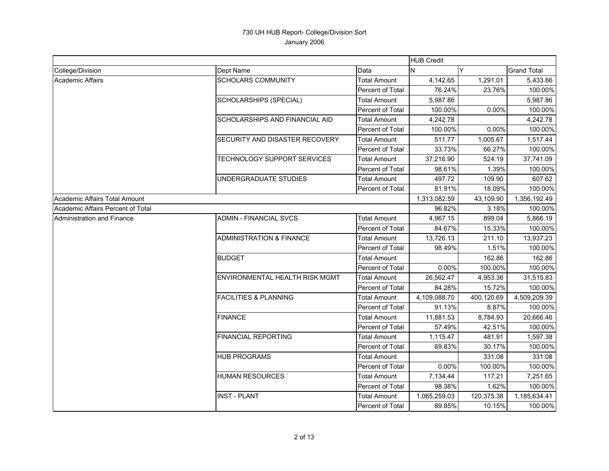|                                   |                                     |                         | <b>HUB Credit</b> |            |                    |
|-----------------------------------|-------------------------------------|-------------------------|-------------------|------------|--------------------|
| College/Division                  | Dept Name                           | Data                    | IN.               | Y          | <b>Grand Total</b> |
| Academic Affairs                  | <b>SCHOLARS COMMUNITY</b>           | <b>Total Amount</b>     | 4,142.65          | 1,291.01   | 5,433.66           |
|                                   |                                     | Percent of Total        | 76.24%            | 23.76%     | 100.00%            |
|                                   | SCHOLARSHIPS (SPECIAL)              | <b>Total Amount</b>     | 5,987.86          |            | 5,987.86           |
|                                   |                                     | Percent of Total        | 100.00%           | 0.00%      | 100.00%            |
|                                   | SCHOLARSHIPS AND FINANCIAL AID      | <b>Total Amount</b>     | 4,242.78          |            | 4,242.78           |
|                                   |                                     | <b>Percent of Total</b> | 100.00%           | 0.00%      | 100.00%            |
|                                   | SECURITY AND DISASTER RECOVERY      | <b>Total Amount</b>     | 511.77            | 1,005.67   | 1,517.44           |
|                                   |                                     | Percent of Total        | 33.73%            | 66.27%     | 100.00%            |
|                                   | TECHNOLOGY SUPPORT SERVICES         | <b>Total Amount</b>     | 37,216.90         | 524.19     | 37,741.09          |
|                                   |                                     | <b>Percent of Total</b> | 98.61%            | 1.39%      | 100.00%            |
|                                   | UNDERGRADUATE STUDIES               | <b>Total Amount</b>     | 497.72            | 109.90     | 607.62             |
|                                   |                                     | Percent of Total        | 81.91%            | 18.09%     | 100.00%            |
| Academic Affairs Total Amount     |                                     |                         | 1,313,082.59      | 43,109.90  | 1,356,192.49       |
| Academic Affairs Percent of Total |                                     |                         | 96.82%            | 3.18%      | 100.00%            |
| <b>Administration and Finance</b> | <b>ADMIN - FINANCIAL SVCS</b>       | <b>Total Amount</b>     | 4,967.15          | 899.04     | 5,866.19           |
|                                   |                                     | Percent of Total        | 84.67%            | 15.33%     | 100.00%            |
|                                   | <b>ADMINISTRATION &amp; FINANCE</b> | <b>Total Amount</b>     | 13,726.13         | 211.10     | 13,937.23          |
|                                   |                                     | Percent of Total        | 98.49%            | 1.51%      | 100.00%            |
|                                   | <b>BUDGET</b>                       | Total Amount            |                   | 162.86     | 162.86             |
|                                   |                                     | Percent of Total        | 0.00%             | 100.00%    | 100.00%            |
|                                   | ENVIRONMENTAL HEALTH RISK MGMT      | <b>Total Amount</b>     | 26,562.47         | 4,953.36   | 31,515.83          |
|                                   |                                     | Percent of Total        | 84.28%            | 15.72%     | 100.00%            |
|                                   | <b>FACILITIES &amp; PLANNING</b>    | Total Amount            | 4,109,088.70      | 400,120.69 | 4,509,209.39       |
|                                   |                                     | Percent of Total        | 91.13%            | 8.87%      | 100.00%            |
|                                   | <b>FINANCE</b>                      | <b>Total Amount</b>     | 11,881.53         | 8,784.93   | 20,666.46          |
|                                   |                                     | Percent of Total        | 57.49%            | 42.51%     | 100.00%            |
|                                   | <b>FINANCIAL REPORTING</b>          | <b>Total Amount</b>     | 1,115.47          | 481.91     | 1,597.38           |
|                                   |                                     | Percent of Total        | 69.83%            | 30.17%     | 100.00%            |
|                                   | <b>HUB PROGRAMS</b>                 | <b>Total Amount</b>     |                   | 331.08     | 331.08             |
|                                   |                                     | Percent of Total        | 0.00%             | 100.00%    | 100.00%            |
|                                   | <b>HUMAN RESOURCES</b>              | Total Amount            | 7,134.44          | 117.21     | 7,251.65           |
|                                   |                                     | Percent of Total        | 98.38%            | 1.62%      | 100.00%            |
|                                   | <b>INST - PLANT</b>                 | <b>Total Amount</b>     | 1,065,259.03      | 120,375.38 | 1,185,634.41       |
|                                   |                                     | Percent of Total        | 89.85%            | 10.15%     | 100.00%            |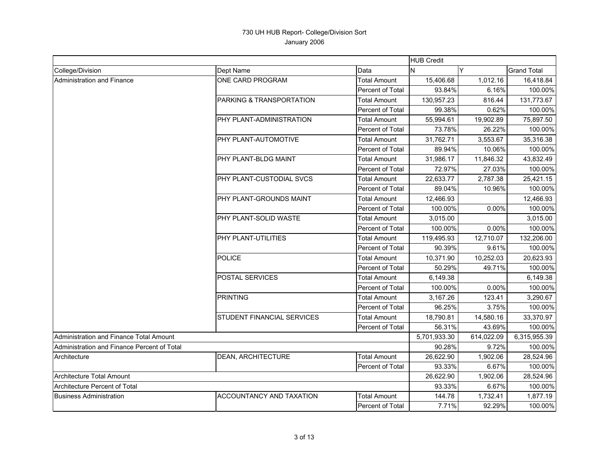|                                             |                                                                  |                     | <b>HUB Credit</b> |            |                    |
|---------------------------------------------|------------------------------------------------------------------|---------------------|-------------------|------------|--------------------|
| College/Division                            | Dept Name                                                        | Data                | N                 | Y          | <b>Grand Total</b> |
| Administration and Finance                  | ONE CARD PROGRAM                                                 | <b>Total Amount</b> | 15,406.68         | 1,012.16   | 16,418.84          |
|                                             |                                                                  | Percent of Total    | 93.84%            | 6.16%      | 100.00%            |
|                                             | PARKING & TRANSPORTATION                                         | <b>Total Amount</b> | 130,957.23        | 816.44     | 131,773.67         |
|                                             |                                                                  | Percent of Total    | 99.38%            | 0.62%      | 100.00%            |
|                                             | PHY PLANT-ADMINISTRATION                                         | Total Amount        | 55,994.61         | 19,902.89  | 75,897.50          |
|                                             |                                                                  | Percent of Total    | 73.78%            | 26.22%     | 100.00%            |
|                                             | PHY PLANT-AUTOMOTIVE                                             | Total Amount        | 31,762.71         | 3,553.67   | 35,316.38          |
|                                             |                                                                  | Percent of Total    | 89.94%            | 10.06%     | 100.00%            |
|                                             | PHY PLANT-BLDG MAINT                                             | <b>Total Amount</b> | 31,986.17         | 11,846.32  | 43,832.49          |
|                                             |                                                                  | Percent of Total    | 72.97%            | 27.03%     | 100.00%            |
|                                             | PHY PLANT-CUSTODIAL SVCS                                         | <b>Total Amount</b> | 22,633.77         | 2,787.38   | 25,421.15          |
|                                             |                                                                  | Percent of Total    | 89.04%            | 10.96%     | 100.00%            |
|                                             | PHY PLANT-GROUNDS MAINT                                          | <b>Total Amount</b> | 12,466.93         |            | 12,466.93          |
|                                             |                                                                  | Percent of Total    | 100.00%           | 0.00%      | 100.00%            |
|                                             | PHY PLANT-SOLID WASTE<br><b>Total Amount</b><br>Percent of Total |                     | 3,015.00          |            | 3,015.00           |
|                                             |                                                                  | 100.00%             | 0.00%             | 100.00%    |                    |
|                                             | PHY PLANT-UTILITIES                                              | <b>Total Amount</b> | 119.495.93        | 12,710.07  | 132,206.00         |
|                                             |                                                                  | Percent of Total    | 90.39%            | 9.61%      | 100.00%            |
|                                             | <b>POLICE</b>                                                    | Total Amount        | 10,371.90         | 10,252.03  | 20,623.93          |
|                                             |                                                                  | Percent of Total    | 50.29%            | 49.71%     | 100.00%            |
|                                             | POSTAL SERVICES                                                  | Total Amount        | 6,149.38          |            | 6,149.38           |
|                                             |                                                                  | Percent of Total    | 100.00%           | 0.00%      | 100.00%            |
|                                             | <b>PRINTING</b>                                                  | <b>Total Amount</b> | 3,167.26          | 123.41     | 3,290.67           |
|                                             |                                                                  | Percent of Total    | 96.25%            | 3.75%      | 100.00%            |
|                                             | STUDENT FINANCIAL SERVICES                                       | <b>Total Amount</b> | 18,790.81         | 14,580.16  | 33,370.97          |
|                                             |                                                                  | Percent of Total    | 56.31%            | 43.69%     | 100.00%            |
| Administration and Finance Total Amount     |                                                                  |                     | 5,701,933.30      | 614,022.09 | 6,315,955.39       |
| Administration and Finance Percent of Total |                                                                  |                     | 90.28%            | 9.72%      | 100.00%            |
| Architecture                                | <b>DEAN, ARCHITECTURE</b>                                        | <b>Total Amount</b> | 26,622.90         | 1,902.06   | 28,524.96          |
|                                             |                                                                  | Percent of Total    | 93.33%            | 6.67%      | 100.00%            |
| <b>Architecture Total Amount</b>            |                                                                  |                     | 26,622.90         | 1,902.06   | 28,524.96          |
| Architecture Percent of Total               |                                                                  |                     | 93.33%            | 6.67%      | 100.00%            |
| <b>Business Administration</b>              | <b>ACCOUNTANCY AND TAXATION</b>                                  | Total Amount        | 144.78            | 1,732.41   | 1,877.19           |
|                                             |                                                                  | Percent of Total    | 7.71%             | 92.29%     | 100.00%            |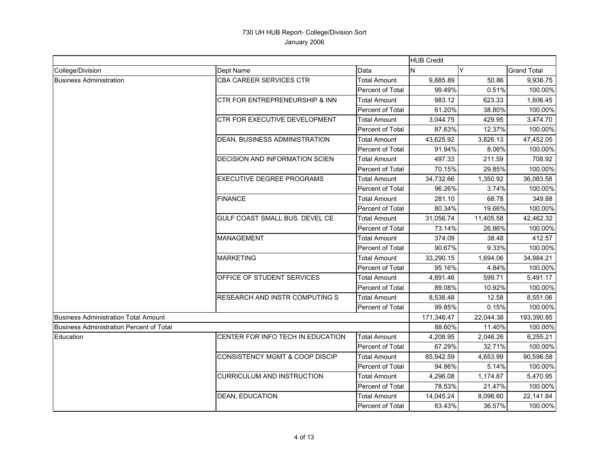|                                                 |                                   |                         | <b>HUB Credit</b> |           |                    |
|-------------------------------------------------|-----------------------------------|-------------------------|-------------------|-----------|--------------------|
| College/Division                                | Dept Name                         | Data                    | N                 | Y         | <b>Grand Total</b> |
| <b>Business Administration</b>                  | CBA CAREER SERVICES CTR           | <b>Total Amount</b>     | 9,885.89          | 50.86     | 9,936.75           |
|                                                 |                                   | Percent of Total        | 99.49%            | 0.51%     | 100.00%            |
|                                                 | CTR FOR ENTREPRENEURSHIP & INN    | <b>Total Amount</b>     | 983.12            | 623.33    | 1,606.45           |
|                                                 |                                   | Percent of Total        | 61.20%            | 38.80%    | 100.00%            |
|                                                 | CTR FOR EXECUTIVE DEVELOPMENT     | <b>Total Amount</b>     | 3,044.75          | 429.95    | 3,474.70           |
|                                                 |                                   | <b>Percent of Total</b> | 87.63%            | 12.37%    | 100.00%            |
|                                                 | DEAN, BUSINESS ADMINISTRATION     | <b>Total Amount</b>     | 43,625.92         | 3,826.13  | 47,452.05          |
|                                                 |                                   | Percent of Total        | 91.94%            | 8.06%     | 100.00%            |
|                                                 | DECISION AND INFORMATION SCIEN    | <b>Total Amount</b>     | 497.33            | 211.59    | 708.92             |
|                                                 |                                   | Percent of Total        | 70.15%            | 29.85%    | 100.00%            |
|                                                 | <b>EXECUTIVE DEGREE PROGRAMS</b>  | Total Amount            | 34,732.66         | 1,350.92  | 36,083.58          |
|                                                 |                                   | Percent of Total        | 96.26%            | 3.74%     | 100.00%            |
|                                                 | <b>FINANCE</b>                    | <b>Total Amount</b>     | 281.10            | 68.78     | 349.88             |
|                                                 |                                   | Percent of Total        | 80.34%            | 19.66%    | 100.00%            |
|                                                 | GULF COAST SMALL BUS. DEVEL CE    | <b>Total Amount</b>     | 31,056.74         | 11,405.58 | 42,462.32          |
|                                                 |                                   | Percent of Total        | 73.14%            | 26.86%    | 100.00%            |
|                                                 | <b>MANAGEMENT</b>                 | <b>Total Amount</b>     | 374.09            | 38.48     | 412.57             |
|                                                 |                                   | Percent of Total        | 90.67%            | 9.33%     | 100.00%            |
|                                                 | <b>MARKETING</b>                  | <b>Total Amount</b>     | 33,290.15         | 1,694.06  | 34,984.21          |
|                                                 |                                   | Percent of Total        | 95.16%            | 4.84%     | 100.00%            |
|                                                 | OFFICE OF STUDENT SERVICES        | <b>Total Amount</b>     | 4,891.46          | 599.71    | 5,491.17           |
|                                                 |                                   | Percent of Total        | 89.08%            | 10.92%    | 100.00%            |
|                                                 | RESEARCH AND INSTR COMPUTING S    | <b>Total Amount</b>     | 8,538.48          | 12.58     | 8,551.06           |
|                                                 |                                   | Percent of Total        | 99.85%            | 0.15%     | 100.00%            |
| <b>Business Administration Total Amount</b>     |                                   |                         | 171,346.47        | 22,044.38 | 193,390.85         |
| <b>Business Administration Percent of Total</b> |                                   |                         | 88.60%            | 11.40%    | 100.00%            |
| Education                                       | CENTER FOR INFO TECH IN EDUCATION | <b>Total Amount</b>     | 4,208.95          | 2,046.26  | 6,255.21           |
|                                                 |                                   | Percent of Total        | 67.29%            | 32.71%    | 100.00%            |
|                                                 | CONSISTENCY MGMT & COOP DISCIP    | <b>Total Amount</b>     | 85,942.59         | 4,653.99  | 90,596.58          |
|                                                 |                                   | Percent of Total        | 94.86%            | 5.14%     | 100.00%            |
|                                                 | <b>CURRICULUM AND INSTRUCTION</b> | <b>Total Amount</b>     | 4,296.08          | 1,174.87  | 5,470.95           |
|                                                 |                                   | Percent of Total        | 78.53%            | 21.47%    | 100.00%            |
|                                                 | <b>DEAN, EDUCATION</b>            | <b>Total Amount</b>     | 14,045.24         | 8,096.60  | 22,141.84          |
|                                                 |                                   | <b>Percent of Total</b> | 63.43%            | 36.57%    | 100.00%            |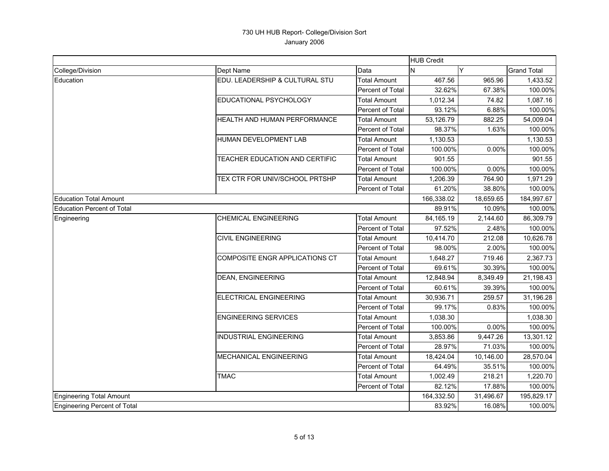|                                   |                                |                         | <b>HUB Credit</b> |           |                    |
|-----------------------------------|--------------------------------|-------------------------|-------------------|-----------|--------------------|
| College/Division                  | Dept Name                      | Data                    | N                 | Y         | <b>Grand Total</b> |
| Education                         | EDU. LEADERSHIP & CULTURAL STU | <b>Total Amount</b>     | 467.56            | 965.96    | 1,433.52           |
|                                   |                                | Percent of Total        | 32.62%            | 67.38%    | 100.00%            |
|                                   | EDUCATIONAL PSYCHOLOGY         | <b>Total Amount</b>     | 1,012.34          | 74.82     | 1,087.16           |
|                                   |                                | <b>Percent of Total</b> | 93.12%            | 6.88%     | 100.00%            |
|                                   | HEALTH AND HUMAN PERFORMANCE   | Total Amount            | 53,126.79         | 882.25    | 54,009.04          |
|                                   |                                | Percent of Total        | 98.37%            | 1.63%     | 100.00%            |
|                                   | HUMAN DEVELOPMENT LAB          | <b>Total Amount</b>     | 1,130.53          |           | 1,130.53           |
|                                   |                                | Percent of Total        | 100.00%           | 0.00%     | 100.00%            |
|                                   | TEACHER EDUCATION AND CERTIFIC | <b>Total Amount</b>     | 901.55            |           | 901.55             |
|                                   |                                | Percent of Total        | 100.00%           | 0.00%     | 100.00%            |
|                                   | TEX CTR FOR UNIV/SCHOOL PRTSHP | <b>Total Amount</b>     | 1,206.39          | 764.90    | 1,971.29           |
|                                   |                                | Percent of Total        | 61.20%            | 38.80%    | 100.00%            |
| <b>Education Total Amount</b>     |                                |                         | 166,338.02        | 18,659.65 | 184,997.67         |
| <b>Education Percent of Total</b> |                                |                         | 89.91%            | 10.09%    | 100.00%            |
| Engineering                       | <b>CHEMICAL ENGINEERING</b>    | <b>Total Amount</b>     | 84, 165. 19       | 2,144.60  | 86,309.79          |
|                                   |                                | Percent of Total        | 97.52%            | 2.48%     | 100.00%            |
|                                   | <b>CIVIL ENGINEERING</b>       | <b>Total Amount</b>     | 10,414.70         | 212.08    | 10,626.78          |
|                                   |                                | Percent of Total        | 98.00%            | 2.00%     | 100.00%            |
|                                   | COMPOSITE ENGR APPLICATIONS CT | <b>Total Amount</b>     | 1,648.27          | 719.46    | 2,367.73           |
|                                   |                                | Percent of Total        | 69.61%            | 30.39%    | 100.00%            |
|                                   | <b>DEAN, ENGINEERING</b>       | <b>Total Amount</b>     | 12,848.94         | 8,349.49  | 21,198.43          |
|                                   |                                | Percent of Total        | 60.61%            | 39.39%    | 100.00%            |
|                                   | ELECTRICAL ENGINEERING         | <b>Total Amount</b>     | 30,936.71         | 259.57    | 31,196.28          |
|                                   |                                | Percent of Total        | 99.17%            | 0.83%     | 100.00%            |
|                                   | <b>ENGINEERING SERVICES</b>    | <b>Total Amount</b>     | 1,038.30          |           | 1,038.30           |
|                                   |                                | Percent of Total        | 100.00%           | 0.00%     | 100.00%            |
|                                   | <b>INDUSTRIAL ENGINEERING</b>  | <b>Total Amount</b>     | 3,853.86          | 9,447.26  | 13,301.12          |
|                                   |                                | Percent of Total        | 28.97%            | 71.03%    | 100.00%            |
|                                   | <b>MECHANICAL ENGINEERING</b>  | <b>Total Amount</b>     | 18,424.04         | 10,146.00 | 28,570.04          |
|                                   |                                | Percent of Total        | 64.49%            | 35.51%    | 100.00%            |
|                                   | <b>TMAC</b>                    | <b>Total Amount</b>     | 1,002.49          | 218.21    | 1,220.70           |
|                                   |                                | Percent of Total        | 82.12%            | 17.88%    | 100.00%            |
| <b>Engineering Total Amount</b>   |                                |                         | 164,332.50        | 31,496.67 | 195,829.17         |
| Engineering Percent of Total      |                                |                         |                   | 16.08%    | 100.00%            |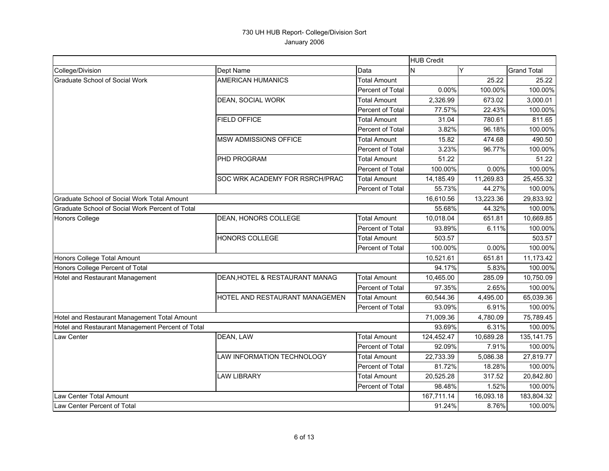|                                                  |                                | <b>HUB Credit</b>   |            |           |                    |
|--------------------------------------------------|--------------------------------|---------------------|------------|-----------|--------------------|
| College/Division                                 | Dept Name                      | Data                | N          | Y         | <b>Grand Total</b> |
| <b>Graduate School of Social Work</b>            | <b>AMERICAN HUMANICS</b>       | <b>Total Amount</b> |            | 25.22     | 25.22              |
|                                                  |                                | Percent of Total    | 0.00%      | 100.00%   | 100.00%            |
|                                                  | DEAN, SOCIAL WORK              | <b>Total Amount</b> | 2,326.99   | 673.02    | 3,000.01           |
|                                                  |                                | Percent of Total    | 77.57%     | 22.43%    | 100.00%            |
|                                                  | <b>FIELD OFFICE</b>            | <b>Total Amount</b> | 31.04      | 780.61    | 811.65             |
|                                                  |                                | Percent of Total    | 3.82%      | 96.18%    | 100.00%            |
|                                                  | <b>MSW ADMISSIONS OFFICE</b>   | <b>Total Amount</b> | 15.82      | 474.68    | 490.50             |
|                                                  |                                | Percent of Total    | 3.23%      | 96.77%    | 100.00%            |
|                                                  | PHD PROGRAM                    | <b>Total Amount</b> | 51.22      |           | 51.22              |
|                                                  |                                | Percent of Total    | 100.00%    | 0.00%     | 100.00%            |
|                                                  | SOC WRK ACADEMY FOR RSRCH/PRAC | <b>Total Amount</b> | 14,185.49  | 11,269.83 | 25,455.32          |
|                                                  |                                | Percent of Total    | 55.73%     | 44.27%    | 100.00%            |
| Graduate School of Social Work Total Amount      |                                |                     | 16,610.56  | 13,223.36 | 29,833.92          |
| Graduate School of Social Work Percent of Total  |                                |                     | 55.68%     | 44.32%    | 100.00%            |
| Honors College                                   | DEAN, HONORS COLLEGE           | <b>Total Amount</b> | 10,018.04  | 651.81    | 10,669.85          |
|                                                  |                                | Percent of Total    | 93.89%     | 6.11%     | 100.00%            |
|                                                  | <b>HONORS COLLEGE</b>          | <b>Total Amount</b> | 503.57     |           | 503.57             |
|                                                  |                                | Percent of Total    | 100.00%    | 0.00%     | 100.00%            |
| Honors College Total Amount                      |                                |                     | 10,521.61  | 651.81    | 11,173.42          |
| Honors College Percent of Total                  |                                |                     | 94.17%     | 5.83%     | 100.00%            |
| Hotel and Restaurant Management                  | DEAN, HOTEL & RESTAURANT MANAG | <b>Total Amount</b> | 10,465.00  | 285.09    | 10,750.09          |
|                                                  |                                | Percent of Total    | 97.35%     | 2.65%     | 100.00%            |
|                                                  | HOTEL AND RESTAURANT MANAGEMEN | <b>Total Amount</b> | 60,544.36  | 4,495.00  | 65,039.36          |
|                                                  |                                | Percent of Total    | 93.09%     | 6.91%     | 100.00%            |
| Hotel and Restaurant Management Total Amount     |                                |                     | 71,009.36  | 4,780.09  | 75,789.45          |
| Hotel and Restaurant Management Percent of Total |                                |                     | 93.69%     | 6.31%     | 100.00%            |
| Law Center                                       | DEAN, LAW                      | <b>Total Amount</b> | 124,452.47 | 10,689.28 | 135, 141. 75       |
|                                                  |                                | Percent of Total    | 92.09%     | 7.91%     | 100.00%            |
|                                                  | LAW INFORMATION TECHNOLOGY     | <b>Total Amount</b> | 22,733.39  | 5,086.38  | 27,819.77          |
|                                                  |                                | Percent of Total    | 81.72%     | 18.28%    | 100.00%            |
|                                                  | <b>LAW LIBRARY</b>             | <b>Total Amount</b> | 20,525.28  | 317.52    | 20,842.80          |
|                                                  |                                | Percent of Total    | 98.48%     | 1.52%     | 100.00%            |
| Law Center Total Amount                          |                                |                     | 167,711.14 | 16,093.18 | 183,804.32         |
| Law Center Percent of Total                      |                                |                     | 91.24%     | 8.76%     | 100.00%            |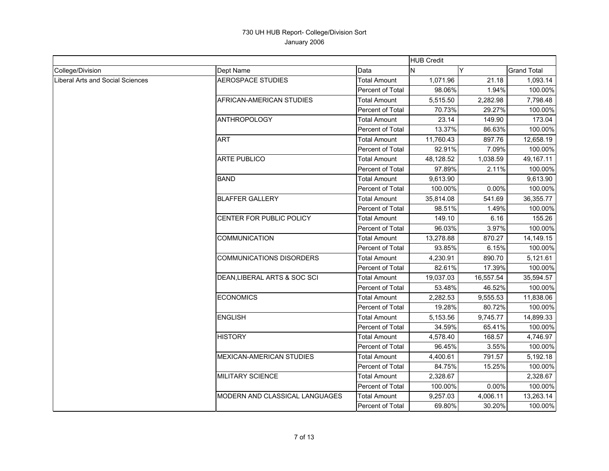|                                  |                                 |                         | <b>HUB Credit</b> |           |                    |
|----------------------------------|---------------------------------|-------------------------|-------------------|-----------|--------------------|
| College/Division                 | Dept Name                       | Data                    | IN.               | ٧         | <b>Grand Total</b> |
| Liberal Arts and Social Sciences | <b>AEROSPACE STUDIES</b>        | <b>Total Amount</b>     | 1,071.96          | 21.18     | 1,093.14           |
|                                  |                                 | Percent of Total        | 98.06%            | 1.94%     | 100.00%            |
|                                  | AFRICAN-AMERICAN STUDIES        | <b>Total Amount</b>     | 5,515.50          | 2,282.98  | 7,798.48           |
|                                  |                                 | Percent of Total        | 70.73%            | 29.27%    | 100.00%            |
|                                  | <b>ANTHROPOLOGY</b>             | <b>Total Amount</b>     | 23.14             | 149.90    | 173.04             |
|                                  |                                 | <b>Percent of Total</b> | 13.37%            | 86.63%    | 100.00%            |
|                                  | <b>ART</b>                      | <b>Total Amount</b>     | 11,760.43         | 897.76    | 12,658.19          |
|                                  |                                 | <b>Percent of Total</b> | 92.91%            | 7.09%     | 100.00%            |
|                                  | <b>ARTE PUBLICO</b>             | <b>Total Amount</b>     | 48,128.52         | 1,038.59  | 49,167.11          |
|                                  |                                 | Percent of Total        | 97.89%            | 2.11%     | 100.00%            |
|                                  | <b>BAND</b>                     | <b>Total Amount</b>     | 9,613.90          |           | 9,613.90           |
|                                  |                                 | Percent of Total        | 100.00%           | 0.00%     | 100.00%            |
|                                  | <b>BLAFFER GALLERY</b>          | <b>Total Amount</b>     | 35,814.08         | 541.69    | 36,355.77          |
|                                  |                                 | Percent of Total        | 98.51%            | 1.49%     | 100.00%            |
|                                  | CENTER FOR PUBLIC POLICY        | Total Amount            | 149.10            | 6.16      | 155.26             |
|                                  |                                 | <b>Percent of Total</b> | 96.03%            | 3.97%     | 100.00%            |
|                                  | <b>COMMUNICATION</b>            | <b>Total Amount</b>     | 13,278.88         | 870.27    | 14,149.15          |
|                                  |                                 | Percent of Total        | 93.85%            | 6.15%     | 100.00%            |
|                                  | <b>COMMUNICATIONS DISORDERS</b> | <b>Total Amount</b>     | 4,230.91          | 890.70    | 5,121.61           |
|                                  |                                 | Percent of Total        | 82.61%            | 17.39%    | 100.00%            |
|                                  | DEAN, LIBERAL ARTS & SOC SCI    | <b>Total Amount</b>     | 19,037.03         | 16,557.54 | 35,594.57          |
|                                  |                                 | Percent of Total        | 53.48%            | 46.52%    | 100.00%            |
|                                  | <b>ECONOMICS</b>                | <b>Total Amount</b>     | 2,282.53          | 9,555.53  | 11,838.06          |
|                                  |                                 | Percent of Total        | 19.28%            | 80.72%    | 100.00%            |
|                                  | <b>ENGLISH</b>                  | Total Amount            | 5.153.56          | 9,745.77  | 14,899.33          |
|                                  |                                 | Percent of Total        | 34.59%            | 65.41%    | 100.00%            |
|                                  | <b>HISTORY</b>                  | <b>Total Amount</b>     | 4,578.40          | 168.57    | 4,746.97           |
|                                  |                                 | Percent of Total        | 96.45%            | 3.55%     | 100.00%            |
|                                  | MEXICAN-AMERICAN STUDIES        | Total Amount            | 4,400.61          | 791.57    | 5,192.18           |
|                                  |                                 | Percent of Total        | 84.75%            | 15.25%    | 100.00%            |
|                                  | <b>MILITARY SCIENCE</b>         | <b>Total Amount</b>     | 2,328.67          |           | 2,328.67           |
|                                  |                                 | Percent of Total        | 100.00%           | 0.00%     | 100.00%            |
|                                  | MODERN AND CLASSICAL LANGUAGES  | <b>Total Amount</b>     | 9,257.03          | 4,006.11  | 13,263.14          |
|                                  |                                 | Percent of Total        | 69.80%            | 30.20%    | 100.00%            |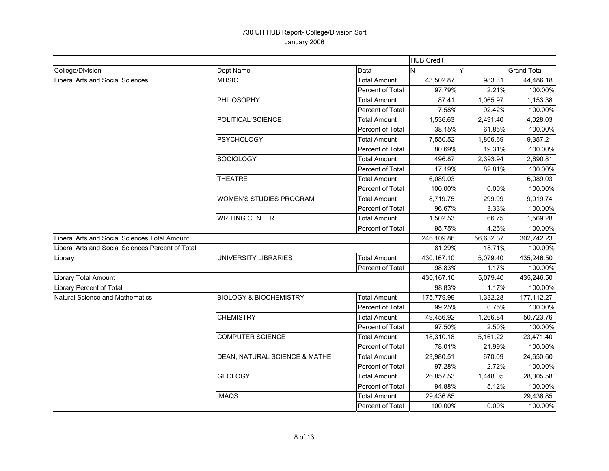|                                                   |                                   |                         | <b>HUB Credit</b> |           |                    |
|---------------------------------------------------|-----------------------------------|-------------------------|-------------------|-----------|--------------------|
| College/Division                                  | Dept Name                         | Data                    | N                 | Y         | <b>Grand Total</b> |
| <b>Liberal Arts and Social Sciences</b>           | <b>MUSIC</b>                      | <b>Total Amount</b>     | 43,502.87         | 983.31    | 44,486.18          |
|                                                   |                                   | Percent of Total        | 97.79%            | 2.21%     | 100.00%            |
|                                                   | PHILOSOPHY                        | <b>Total Amount</b>     | 87.41             | 1,065.97  | 1,153.38           |
|                                                   |                                   | Percent of Total        | 7.58%             | 92.42%    | 100.00%            |
|                                                   | POLITICAL SCIENCE                 | <b>Total Amount</b>     | 1,536.63          | 2,491.40  | 4,028.03           |
|                                                   |                                   | Percent of Total        | 38.15%            | 61.85%    | 100.00%            |
|                                                   | <b>PSYCHOLOGY</b>                 | <b>Total Amount</b>     | 7,550.52          | 1,806.69  | 9,357.21           |
|                                                   |                                   | <b>Percent of Total</b> | 80.69%            | 19.31%    | 100.00%            |
|                                                   | SOCIOLOGY                         | <b>Total Amount</b>     | 496.87            | 2,393.94  | 2,890.81           |
|                                                   |                                   | Percent of Total        | 17.19%            | 82.81%    | 100.00%            |
|                                                   | <b>THEATRE</b>                    | <b>Total Amount</b>     | 6,089.03          |           | 6,089.03           |
|                                                   |                                   | Percent of Total        | 100.00%           | 0.00%     | 100.00%            |
|                                                   | <b>WOMEN'S STUDIES PROGRAM</b>    | <b>Total Amount</b>     | 8,719.75          | 299.99    | 9,019.74           |
|                                                   |                                   | Percent of Total        | 96.67%            | 3.33%     | 100.00%            |
|                                                   | <b>WRITING CENTER</b>             | <b>Total Amount</b>     | 1,502.53          | 66.75     | 1,569.28           |
|                                                   |                                   | Percent of Total        | 95.75%            | 4.25%     | 100.00%            |
| Liberal Arts and Social Sciences Total Amount     |                                   |                         | 246,109.86        | 56,632.37 | 302,742.23         |
| Liberal Arts and Social Sciences Percent of Total |                                   |                         | 81.29%            | 18.71%    | 100.00%            |
| Library                                           | UNIVERSITY LIBRARIES              | <b>Total Amount</b>     | 430,167.10        | 5,079.40  | 435,246.50         |
|                                                   |                                   | Percent of Total        | 98.83%            | 1.17%     | 100.00%            |
| <b>Library Total Amount</b>                       |                                   |                         | 430,167.10        | 5,079.40  | 435,246.50         |
| Library Percent of Total                          |                                   |                         | 98.83%            | 1.17%     | 100.00%            |
| Natural Science and Mathematics                   | <b>BIOLOGY &amp; BIOCHEMISTRY</b> | <b>Total Amount</b>     | 175,779.99        | 1,332.28  | 177,112.27         |
|                                                   |                                   | Percent of Total        | 99.25%            | 0.75%     | 100.00%            |
|                                                   | <b>CHEMISTRY</b>                  | <b>Total Amount</b>     | 49,456.92         | 1,266.84  | 50,723.76          |
|                                                   |                                   | Percent of Total        | 97.50%            | 2.50%     | 100.00%            |
|                                                   | <b>COMPUTER SCIENCE</b>           | <b>Total Amount</b>     | 18,310.18         | 5,161.22  | 23,471.40          |
|                                                   |                                   | Percent of Total        | 78.01%            | 21.99%    | 100.00%            |
|                                                   | DEAN, NATURAL SCIENCE & MATHE     | <b>Total Amount</b>     | 23,980.51         | 670.09    | 24,650.60          |
|                                                   |                                   | <b>Percent of Total</b> | 97.28%            | 2.72%     | 100.00%            |
|                                                   | <b>GEOLOGY</b>                    | <b>Total Amount</b>     | 26,857.53         | 1,448.05  | 28,305.58          |
|                                                   |                                   | Percent of Total        | 94.88%            | 5.12%     | 100.00%            |
|                                                   | <b>IMAQS</b>                      | <b>Total Amount</b>     | 29,436.85         |           | 29,436.85          |
|                                                   |                                   | Percent of Total        | 100.00%           | 0.00%     | 100.00%            |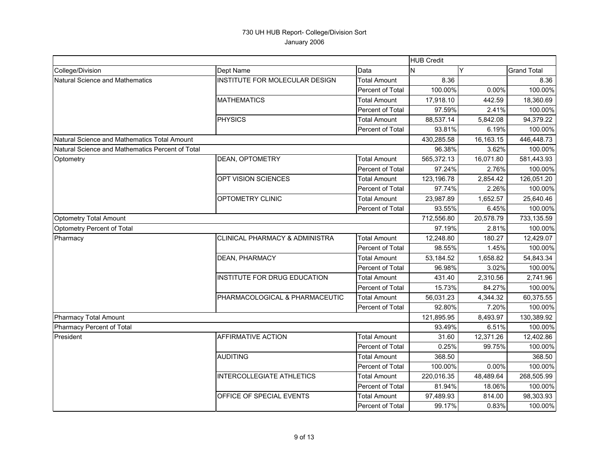|                                                  |                                  |                         | <b>HUB Credit</b> |           |                    |
|--------------------------------------------------|----------------------------------|-------------------------|-------------------|-----------|--------------------|
| College/Division                                 | Dept Name                        | Data                    | IN.               | Y         | <b>Grand Total</b> |
| Natural Science and Mathematics                  | INSTITUTE FOR MOLECULAR DESIGN   | <b>Total Amount</b>     | 8.36              |           | 8.36               |
|                                                  |                                  | Percent of Total        | 100.00%           | 0.00%     | 100.00%            |
|                                                  | <b>MATHEMATICS</b>               | <b>Total Amount</b>     | 17,918.10         | 442.59    | 18,360.69          |
|                                                  |                                  | Percent of Total        | 97.59%            | 2.41%     | 100.00%            |
|                                                  | <b>PHYSICS</b>                   | <b>Total Amount</b>     | 88,537.14         | 5,842.08  | 94,379.22          |
|                                                  |                                  | <b>Percent of Total</b> | 93.81%            | 6.19%     | 100.00%            |
| Natural Science and Mathematics Total Amount     |                                  |                         | 430,285.58        | 16,163.15 | 446,448.73         |
| Natural Science and Mathematics Percent of Total |                                  |                         | 96.38%            | 3.62%     | 100.00%            |
| Optometry                                        | DEAN, OPTOMETRY                  | <b>Total Amount</b>     | 565,372.13        | 16,071.80 | 581,443.93         |
|                                                  |                                  | Percent of Total        | 97.24%            | 2.76%     | 100.00%            |
|                                                  | OPT VISION SCIENCES              | <b>Total Amount</b>     | 123,196.78        | 2,854.42  | 126,051.20         |
|                                                  |                                  | Percent of Total        | 97.74%            | 2.26%     | 100.00%            |
|                                                  | OPTOMETRY CLINIC                 | <b>Total Amount</b>     | 23,987.89         | 1,652.57  | 25,640.46          |
|                                                  |                                  | Percent of Total        | 93.55%            | 6.45%     | 100.00%            |
| <b>Optometry Total Amount</b>                    |                                  |                         | 712,556.80        | 20,578.79 | 733,135.59         |
| Optometry Percent of Total                       |                                  |                         | 97.19%            | 2.81%     | 100.00%            |
| Pharmacy                                         | CLINICAL PHARMACY & ADMINISTRA   | <b>Total Amount</b>     | 12,248.80         | 180.27    | 12,429.07          |
|                                                  |                                  | Percent of Total        | 98.55%            | 1.45%     | 100.00%            |
|                                                  | <b>DEAN, PHARMACY</b>            | <b>Total Amount</b>     | 53,184.52         | 1,658.82  | 54,843.34          |
|                                                  |                                  | Percent of Total        | 96.98%            | 3.02%     | 100.00%            |
|                                                  | INSTITUTE FOR DRUG EDUCATION     | <b>Total Amount</b>     | 431.40            | 2,310.56  | 2,741.96           |
|                                                  |                                  | Percent of Total        | 15.73%            | 84.27%    | 100.00%            |
|                                                  | PHARMACOLOGICAL & PHARMACEUTIC   | <b>Total Amount</b>     | 56,031.23         | 4,344.32  | 60,375.55          |
|                                                  |                                  | Percent of Total        | 92.80%            | 7.20%     | 100.00%            |
| <b>Pharmacy Total Amount</b>                     |                                  |                         | 121,895.95        | 8,493.97  | 130,389.92         |
| Pharmacy Percent of Total                        |                                  |                         | 93.49%            | 6.51%     | 100.00%            |
| President                                        | AFFIRMATIVE ACTION               | <b>Total Amount</b>     | 31.60             | 12,371.26 | 12,402.86          |
|                                                  |                                  | Percent of Total        | 0.25%             | 99.75%    | 100.00%            |
|                                                  | <b>AUDITING</b>                  | Total Amount            | 368.50            |           | 368.50             |
|                                                  |                                  | Percent of Total        | 100.00%           | 0.00%     | 100.00%            |
|                                                  | <b>INTERCOLLEGIATE ATHLETICS</b> | <b>Total Amount</b>     | 220,016.35        | 48,489.64 | 268,505.99         |
|                                                  |                                  | Percent of Total        | 81.94%            | 18.06%    | 100.00%            |
|                                                  | OFFICE OF SPECIAL EVENTS         | <b>Total Amount</b>     | 97,489.93         | 814.00    | 98,303.93          |
|                                                  |                                  | <b>Percent of Total</b> | 99.17%            | 0.83%     | 100.00%            |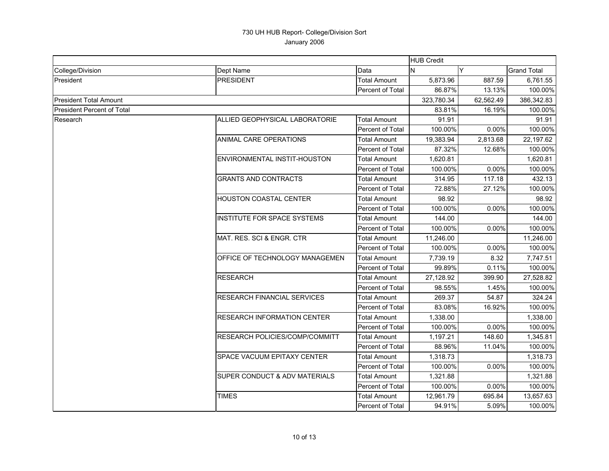|                                   |                                          |                         | <b>HUB Credit</b> |           |                    |
|-----------------------------------|------------------------------------------|-------------------------|-------------------|-----------|--------------------|
| College/Division                  | Dept Name                                | Data                    | N                 | Y         | <b>Grand Total</b> |
| President                         | <b>PRESIDENT</b>                         | <b>Total Amount</b>     | 5,873.96          | 887.59    | 6,761.55           |
|                                   |                                          | Percent of Total        | 86.87%            | 13.13%    | 100.00%            |
| <b>President Total Amount</b>     |                                          |                         | 323,780.34        | 62,562.49 | 386,342.83         |
| <b>President Percent of Total</b> |                                          |                         | 83.81%            | 16.19%    | 100.00%            |
| Research                          | ALLIED GEOPHYSICAL LABORATORIE           | <b>Total Amount</b>     | 91.91             |           | 91.91              |
|                                   |                                          | Percent of Total        | 100.00%           | 0.00%     | 100.00%            |
|                                   | ANIMAL CARE OPERATIONS                   | <b>Total Amount</b>     | 19,383.94         | 2,813.68  | 22,197.62          |
|                                   |                                          | <b>Percent of Total</b> | 87.32%            | 12.68%    | 100.00%            |
|                                   | ENVIRONMENTAL INSTIT-HOUSTON             | <b>Total Amount</b>     | 1,620.81          |           | 1,620.81           |
|                                   |                                          | <b>Percent of Total</b> | 100.00%           | 0.00%     | 100.00%            |
|                                   | <b>GRANTS AND CONTRACTS</b>              | <b>Total Amount</b>     | 314.95            | 117.18    | 432.13             |
|                                   |                                          | Percent of Total        | 72.88%            | 27.12%    | 100.00%            |
|                                   | <b>HOUSTON COASTAL CENTER</b>            | <b>Total Amount</b>     | 98.92             |           | 98.92              |
|                                   |                                          | Percent of Total        | 100.00%           | 0.00%     | 100.00%            |
|                                   | <b>INSTITUTE FOR SPACE SYSTEMS</b>       | <b>Total Amount</b>     | 144.00            |           | 144.00             |
|                                   |                                          | Percent of Total        | 100.00%           | 0.00%     | 100.00%            |
|                                   | MAT. RES. SCI & ENGR. CTR                | Total Amount            | 11,246.00         |           | 11,246.00          |
|                                   |                                          | Percent of Total        | 100.00%           | 0.00%     | 100.00%            |
|                                   | <b>OFFICE OF TECHNOLOGY MANAGEMEN</b>    | <b>Total Amount</b>     | 7,739.19          | 8.32      | 7,747.51           |
|                                   |                                          | Percent of Total        | 99.89%            | 0.11%     | 100.00%            |
|                                   | <b>RESEARCH</b>                          | <b>Total Amount</b>     | 27,128.92         | 399.90    | 27,528.82          |
|                                   |                                          | Percent of Total        | 98.55%            | 1.45%     | 100.00%            |
|                                   | <b>RESEARCH FINANCIAL SERVICES</b>       | <b>Total Amount</b>     | 269.37            | 54.87     | 324.24             |
|                                   |                                          | Percent of Total        | 83.08%            | 16.92%    | 100.00%            |
|                                   | <b>RESEARCH INFORMATION CENTER</b>       | <b>Total Amount</b>     | 1,338.00          |           | 1,338.00           |
|                                   |                                          | <b>Percent of Total</b> | 100.00%           | 0.00%     | 100.00%            |
|                                   | RESEARCH POLICIES/COMP/COMMITT           | <b>Total Amount</b>     | 1,197.21          | 148.60    | 1,345.81           |
|                                   |                                          | Percent of Total        | 88.96%            | 11.04%    | 100.00%            |
|                                   | SPACE VACUUM EPITAXY CENTER              | <b>Total Amount</b>     | 1,318.73          |           | 1,318.73           |
|                                   |                                          | Percent of Total        | 100.00%           | 0.00%     | 100.00%            |
|                                   | <b>SUPER CONDUCT &amp; ADV MATERIALS</b> | <b>Total Amount</b>     | 1,321.88          |           | 1,321.88           |
|                                   |                                          | Percent of Total        | 100.00%           | 0.00%     | 100.00%            |
|                                   | <b>TIMES</b>                             | Total Amount            | 12,961.79         | 695.84    | 13,657.63          |
|                                   |                                          | Percent of Total        | 94.91%            | 5.09%     | 100.00%            |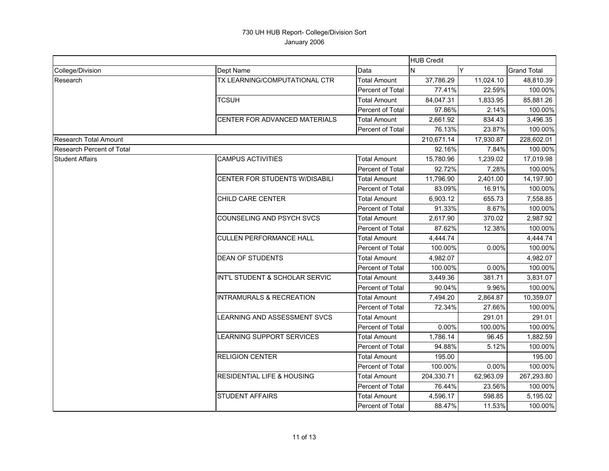|                                  |                                       |                         | <b>HUB Credit</b> |           |                    |
|----------------------------------|---------------------------------------|-------------------------|-------------------|-----------|--------------------|
| College/Division                 | Dept Name                             | Data                    | N                 | Y         | <b>Grand Total</b> |
| Research                         | TX LEARNING/COMPUTATIONAL CTR         | <b>Total Amount</b>     | 37,786.29         | 11,024.10 | 48,810.39          |
|                                  |                                       | <b>Percent of Total</b> | 77.41%            | 22.59%    | 100.00%            |
|                                  | <b>TCSUH</b>                          | <b>Total Amount</b>     | 84.047.31         | 1,833.95  | 85,881.26          |
|                                  |                                       | Percent of Total        | 97.86%            | 2.14%     | 100.00%            |
|                                  | <b>CENTER FOR ADVANCED MATERIALS</b>  | <b>Total Amount</b>     | 2,661.92          | 834.43    | 3,496.35           |
|                                  |                                       | Percent of Total        | 76.13%            | 23.87%    | 100.00%            |
| <b>Research Total Amount</b>     |                                       |                         | 210,671.14        | 17,930.87 | 228,602.01         |
| <b>Research Percent of Total</b> |                                       |                         | 92.16%            | 7.84%     | 100.00%            |
| <b>Student Affairs</b>           | <b>CAMPUS ACTIVITIES</b>              | Total Amount            | 15,780.96         | 1,239.02  | 17,019.98          |
|                                  |                                       | Percent of Total        | 92.72%            | 7.28%     | 100.00%            |
|                                  | CENTER FOR STUDENTS W/DISABILI        | <b>Total Amount</b>     | 11,796.90         | 2,401.00  | 14,197.90          |
|                                  |                                       | Percent of Total        | 83.09%            | 16.91%    | 100.00%            |
|                                  | CHILD CARE CENTER                     | Total Amount            | 6,903.12          | 655.73    | 7,558.85           |
|                                  |                                       | Percent of Total        | 91.33%            | 8.67%     | 100.00%            |
|                                  | COUNSELING AND PSYCH SVCS             | Total Amount            | 2,617.90          | 370.02    | 2,987.92           |
|                                  |                                       | Percent of Total        | 87.62%            | 12.38%    | 100.00%            |
|                                  | <b>CULLEN PERFORMANCE HALL</b>        | <b>Total Amount</b>     | 4,444.74          |           | 4,444.74           |
|                                  |                                       | Percent of Total        | 100.00%           | 0.00%     | 100.00%            |
|                                  | <b>DEAN OF STUDENTS</b>               | <b>Total Amount</b>     | 4.982.07          |           | 4,982.07           |
|                                  |                                       | Percent of Total        | 100.00%           | 0.00%     | 100.00%            |
|                                  | INT'L STUDENT & SCHOLAR SERVIC        | Total Amount            | 3,449.36          | 381.71    | 3,831.07           |
|                                  |                                       | Percent of Total        | 90.04%            | 9.96%     | 100.00%            |
|                                  | <b>INTRAMURALS &amp; RECREATION</b>   | Total Amount            | 7,494.20          | 2,864.87  | 10,359.07          |
|                                  |                                       | <b>Percent of Total</b> | 72.34%            | 27.66%    | 100.00%            |
|                                  | LEARNING AND ASSESSMENT SVCS          | Total Amount            |                   | 291.01    | 291.01             |
|                                  |                                       | Percent of Total        | 0.00%             | 100.00%   | 100.00%            |
|                                  | <b>LEARNING SUPPORT SERVICES</b>      | <b>Total Amount</b>     | 1,786.14          | 96.45     | 1,882.59           |
|                                  |                                       | Percent of Total        | 94.88%            | 5.12%     | 100.00%            |
|                                  | <b>RELIGION CENTER</b>                | <b>Total Amount</b>     | 195.00            |           | 195.00             |
|                                  |                                       | Percent of Total        | 100.00%           | $0.00\%$  | 100.00%            |
|                                  | <b>RESIDENTIAL LIFE &amp; HOUSING</b> | Total Amount            | 204.330.71        | 62,963.09 | 267,293.80         |
|                                  |                                       | Percent of Total        | 76.44%            | 23.56%    | 100.00%            |
|                                  | <b>STUDENT AFFAIRS</b>                | <b>Total Amount</b>     | 4,596.17          | 598.85    | 5,195.02           |
|                                  |                                       | Percent of Total        | 88.47%            | 11.53%    | 100.00%            |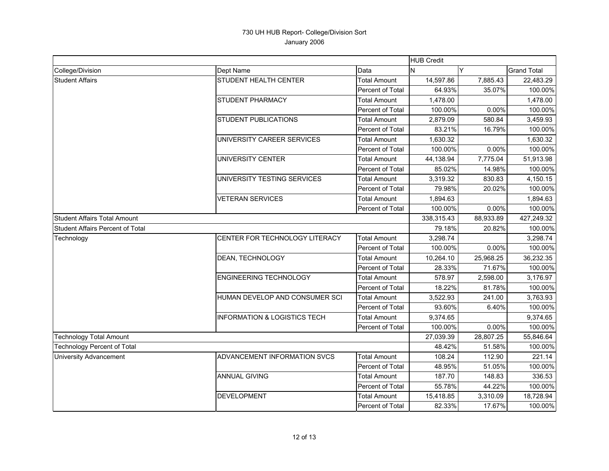|                                         |                                         |                         | <b>HUB Credit</b> |           |                    |
|-----------------------------------------|-----------------------------------------|-------------------------|-------------------|-----------|--------------------|
| College/Division                        | Dept Name                               | Data                    | N                 | Y         | <b>Grand Total</b> |
| <b>Student Affairs</b>                  | STUDENT HEALTH CENTER                   | <b>Total Amount</b>     | 14,597.86         | 7,885.43  | 22,483.29          |
|                                         |                                         | Percent of Total        | 64.93%            | 35.07%    | 100.00%            |
|                                         | <b>STUDENT PHARMACY</b>                 | <b>Total Amount</b>     | 1,478.00          |           | 1,478.00           |
|                                         |                                         | Percent of Total        | 100.00%           | 0.00%     | 100.00%            |
|                                         | <b>STUDENT PUBLICATIONS</b>             | Total Amount            | 2,879.09          | 580.84    | 3,459.93           |
|                                         |                                         | Percent of Total        | 83.21%            | 16.79%    | 100.00%            |
|                                         | UNIVERSITY CAREER SERVICES              | <b>Total Amount</b>     | 1,630.32          |           | 1,630.32           |
|                                         |                                         | Percent of Total        | 100.00%           | 0.00%     | 100.00%            |
|                                         | <b>UNIVERSITY CENTER</b>                | <b>Total Amount</b>     | 44,138.94         | 7,775.04  | 51,913.98          |
|                                         |                                         | Percent of Total        | 85.02%            | 14.98%    | 100.00%            |
|                                         | UNIVERSITY TESTING SERVICES             | <b>Total Amount</b>     | 3,319.32          | 830.83    | 4,150.15           |
|                                         |                                         | Percent of Total        | 79.98%            | 20.02%    | 100.00%            |
|                                         | <b>VETERAN SERVICES</b>                 | Total Amount            | 1,894.63          |           | 1,894.63           |
|                                         |                                         | Percent of Total        | 100.00%           | 0.00%     | 100.00%            |
| <b>Student Affairs Total Amount</b>     |                                         |                         | 338,315.43        | 88,933.89 | 427,249.32         |
| <b>Student Affairs Percent of Total</b> |                                         |                         | 79.18%            | 20.82%    | 100.00%            |
| Technology                              | CENTER FOR TECHNOLOGY LITERACY          | <b>Total Amount</b>     | 3.298.74          |           | 3,298.74           |
|                                         |                                         | Percent of Total        | 100.00%           | 0.00%     | 100.00%            |
|                                         | DEAN, TECHNOLOGY                        | <b>Total Amount</b>     | 10,264.10         | 25,968.25 | 36,232.35          |
|                                         |                                         | Percent of Total        | 28.33%            | 71.67%    | 100.00%            |
|                                         | <b>ENGINEERING TECHNOLOGY</b>           | Total Amount            | 578.97            | 2,598.00  | 3,176.97           |
|                                         |                                         | <b>Percent of Total</b> | 18.22%            | 81.78%    | 100.00%            |
|                                         | HUMAN DEVELOP AND CONSUMER SCI          | <b>Total Amount</b>     | 3,522.93          | 241.00    | 3,763.93           |
|                                         |                                         | Percent of Total        | 93.60%            | 6.40%     | 100.00%            |
|                                         | <b>INFORMATION &amp; LOGISTICS TECH</b> | <b>Total Amount</b>     | 9,374.65          |           | 9,374.65           |
|                                         |                                         | Percent of Total        | 100.00%           | 0.00%     | 100.00%            |
| <b>Technology Total Amount</b>          |                                         |                         | 27,039.39         | 28,807.25 | 55,846.64          |
| <b>Technology Percent of Total</b>      |                                         |                         | 48.42%            | 51.58%    | 100.00%            |
| <b>University Advancement</b>           | <b>ADVANCEMENT INFORMATION SVCS</b>     | <b>Total Amount</b>     | 108.24            | 112.90    | 221.14             |
|                                         |                                         | Percent of Total        | 48.95%            | 51.05%    | 100.00%            |
|                                         | <b>ANNUAL GIVING</b>                    | <b>Total Amount</b>     | 187.70            | 148.83    | 336.53             |
|                                         |                                         | Percent of Total        | 55.78%            | 44.22%    | 100.00%            |
|                                         | <b>DEVELOPMENT</b>                      | <b>Total Amount</b>     | 15,418.85         | 3,310.09  | 18,728.94          |
|                                         |                                         | <b>Percent of Total</b> | 82.33%            | 17.67%    | 100.00%            |